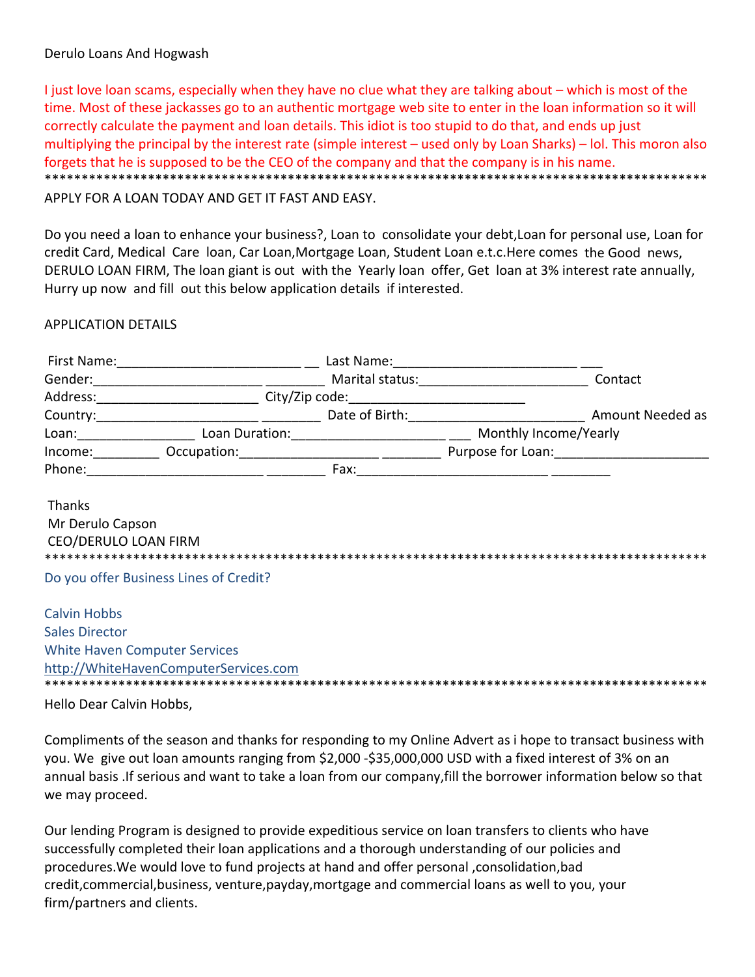# Derulo Loans And Hogwash

I just love loan scams, especially when they have no clue what they are talking about – which is most of the time. Most of these jackasses go to an authentic mortgage web site to enter in the loan information so it will correctly calculate the payment and loan details. This idiot is too stupid to do that, and ends up just multiplying the principal by the interest rate (simple interest – used only by Loan Sharks) – lol. This moron also forgets that he is supposed to be the CEO of the company and that the company is in his name. \*\*\*\*\*\*\*\*\*\*\*\*\*\* \*\*\*\*\*\*\*\*\*\*\*\*\*\*\*\*\*\*\*\*\*\*\*\*\*\*\*\*\*\*\*\*\*\*\*\*

## APPLY FOR A LOAN TODAY AND GET IT FAST AND EASY.

Do you need a loan to enhance your business?, Loan to consolidate your debt, Loan for personal use, Loan for credit Card, Medical Care Ioan, Car Loan, Mortgage Loan, Student Loan e.t.c. Here comes the Good news, DERULO LOAN FIRM, The loan giant is out with the Yearly loan offer, Get loan at 3% interest rate annually, Hurry up now and fill out this below application details if interested.

## **APPLICATION DETAILS**

| First Name:                                        | Last Name:                                                                                                    |                       |
|----------------------------------------------------|---------------------------------------------------------------------------------------------------------------|-----------------------|
| Gender:                                            |                                                                                                               | Contact               |
| Address: ________________________                  |                                                                                                               |                       |
|                                                    |                                                                                                               |                       |
| Loan: Loan Duration: Loan Duration:                |                                                                                                               | Monthly Income/Yearly |
|                                                    | Income: Occupation: 0ccupation: 0ccupation: 0.000 0.000 0.000 0.000 0.000 0.000 0.000 0.000 0.000 0.000 0.000 |                       |
| Phone:                                             | Fax: F                                                                                                        |                       |
| Thanks<br>Mr Derulo Capson<br>CEO/DERULO LOAN FIRM |                                                                                                               |                       |
| Do you offer Business Lines of Credit?             |                                                                                                               |                       |
| <b>Calvin Hobbs</b>                                |                                                                                                               |                       |
| <b>Sales Director</b>                              |                                                                                                               |                       |
| <b>White Haven Computer Services</b>               |                                                                                                               |                       |
| http://WhiteHavenComputerServices.com              |                                                                                                               |                       |
|                                                    |                                                                                                               |                       |

Hello Dear Calvin Hobbs,

Compliments of the season and thanks for responding to my Online Advert as i hope to transact business with you. We give out loan amounts ranging from \$2,000 -\$35,000,000 USD with a fixed interest of 3% on an annual basis .If serious and want to take a loan from our company, fill the borrower information below so that we may proceed.

Our lending Program is designed to provide expeditious service on loan transfers to clients who have successfully completed their loan applications and a thorough understanding of our policies and procedures. We would love to fund projects at hand and offer personal ,consolidation, bad credit, commercial, business, venture, payday, mortgage and commercial loans as well to you, your firm/partners and clients.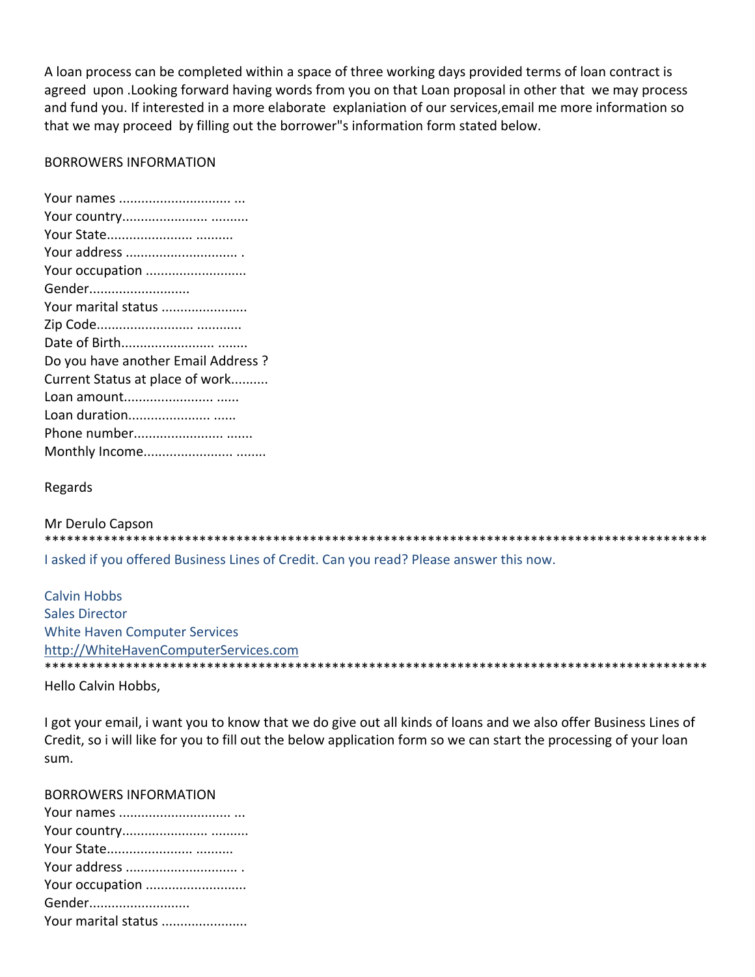A loan process can be completed within a space of three working days provided terms of loan contract is agreed upon .Looking forward having words from you on that Loan proposal in other that we may process and fund you. If interested in a more elaborate explaniation of our services,email me more information so that we may proceed by filling out the borrower"s information form stated below.

# BORROWERS INFORMATION

| Your occupation                     |
|-------------------------------------|
| Gender                              |
| Your marital status                 |
|                                     |
|                                     |
| Do you have another Email Address ? |
| Current Status at place of work     |
|                                     |
| Loan duration                       |
|                                     |
|                                     |

Regards

Mr Derulo Capson \*\*\*\*\*\*\*\*\*\*\*\*\*\*\*\*\*\*\*\*\*\*\*\*\*\*\*\*\*\*\*\*\*\*\*\*\*\*\*\*\*\*\*\*\*\*\*\*\*\*\*\*\*\*\*\*\*\*\*\*\*\*\*\*\*\*\*\*\*\*\*\*\*\*\*\*\*\*\*\*\*\*\*\*\*\*\*\*\*\*

I asked if you offered Business Lines of Credit. Can you read? Please answer this now.

Calvin Hobbs Sales Director White Haven Computer Services http://WhiteHavenComputerServices.com \*\*\*\*\*\*\*\*\*\*\*\*\*\*\*\*\*\*\*\*\*\*\*\*\*\*\*\*\*\*\*\*\*\*\*\*\*\*\*\*\*\*\*\*\*\*\*\*\*\*\*\*\*\*\*\*\*\*\*\*\*\*\*\*\*\*\*\*\*\*\*\*\*\*\*\*\*\*\*\*\*\*\*\*\*\*\*\*\*\*

Hello Calvin Hobbs,

I got your email, i want you to know that we do give out all kinds of loans and we also offer Business Lines of Credit, so i will like for you to fill out the below application form so we can start the processing of your loan sum.

#### BORROWERS INFORMATION

| Your occupation     |
|---------------------|
| Gender              |
| Your marital status |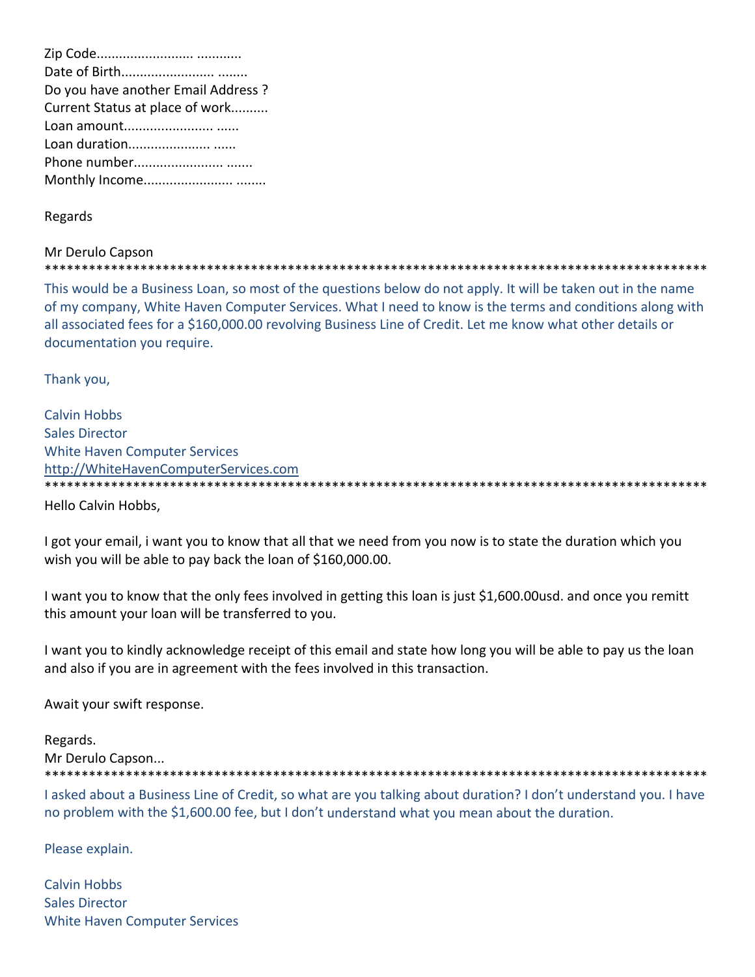Zip Code.......................... ............ Date of Birth......................... ........ Do you have another Email Address ? Current Status at place of work.......... Loan amount........................ ...... Loan duration...................... ...... Phone number........................ ....... Monthly Income........................ ........

Regards

# Mr Derulo Capson

\*\*\*\*\*\*\*\*\*\*\*\*\*\*\*\*\*\*\*\*\*\*\*\*\*\*\*\*\*\*\*\*\*\*\*\*\*\*\*\*\*\*\*\*\*\*\*\*\*\*\*\*\*\*\*\*\*\*\*\*\*\*\*\*\*\*\*\*\*\*\*\*\*\*\*\*\*\*\*\*\*\*\*\*\*\*\*\*\*\*

This would be a Business Loan, so most of the questions below do not apply. It will be taken out in the name of my company, White Haven Computer Services. What I need to know is the terms and conditions along with all associated fees for a \$160,000.00 revolving Business Line of Credit. Let me know what other details or documentation you require.

Thank you,

Calvin Hobbs Sales Director White Haven Computer Services http://WhiteHavenComputerServices.com \*\*\*\*\*\*\*\*\*\*\*\*\*\*\*\*\*\*\*\*\*\*\*\*\*\*\*\*\*\*\*\*\*\*\*\*\*\*\*\*\*\*\*\*\*\*\*\*\*\*\*\*\*\*\*\*\*\*\*\*\*\*\*\*\*\*\*\*\*\*\*\*\*\*\*\*\*\*\*\*\*\*\*\*\*\*\*\*\*\*

Hello Calvin Hobbs,

I got your email, i want you to know that all that we need from you now is to state the duration which you wish you will be able to pay back the loan of \$160,000.00.

I want you to know that the only fees involved in getting this loan is just \$1,600.00usd. and once you remitt this amount your loan will be transferred to you.

I want you to kindly acknowledge receipt of this email and state how long you will be able to pay us the loan and also if you are in agreement with the fees involved in this transaction.

Await your swift response.

Regards. Mr Derulo Capson... \*\*\*\*\*\*\*\*\*\*\*\*\*\*\*\*\*\*\*\*\*\*\*\*\*\*\*\*\*\*\*\*\*\*\*\*\*\*\*\*\*\*\*\*\*\*\*\*\*\*\*\*\*\*\*\*\*\*\*\*\*\*\*\*\*\*\*\*\*\*\*\*\*\*\*\*\*\*\*\*\*\*\*\*\*\*\*\*\*\*

I asked about a Business Line of Credit, so what are you talking about duration? I don't understand you. I have no problem with the \$1,600.00 fee, but I don't understand what you mean about the duration.

Please explain.

Calvin Hobbs Sales Director White Haven Computer Services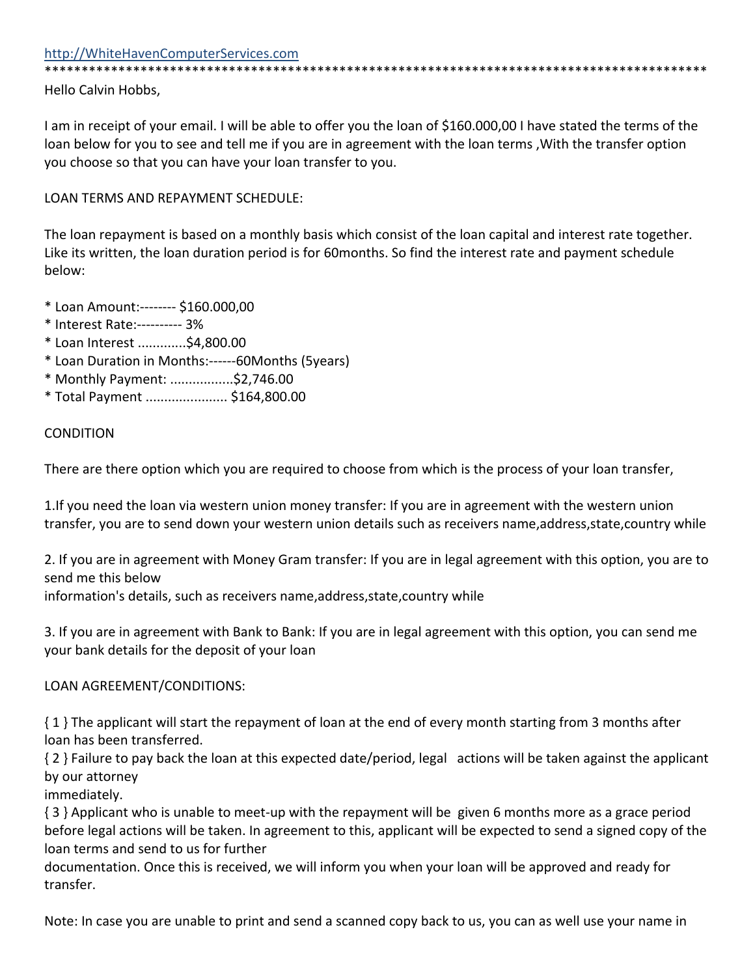\*\*\*\*\*\*\*\*\*\*\*\*\*\*\*\*\*\*\*\*\*\*\*\*\*\*\*\*\*\*\*\*\*\*\*\*\*\*\*\*\*\*\*\*\*\*\*\*\*\*\*\*\*\*\*\*\*\*\*\*\*\*\*\*\*\*\*\*\*\*\*\*\*\*\*\*\*\*\*\*\*\*\*\*\*\*\*\*\*\* Hello Calvin Hobbs,

I am in receipt of your email. I will be able to offer you the loan of \$160.000,00 I have stated the terms of the loan below for you to see and tell me if you are in agreement with the loan terms ,With the transfer option you choose so that you can have your loan transfer to you.

LOAN TERMS AND REPAYMENT SCHEDULE:

The loan repayment is based on a monthly basis which consist of the loan capital and interest rate together. Like its written, the loan duration period is for 60months. So find the interest rate and payment schedule below:

- \* Loan Amount:‐‐‐‐‐‐‐‐ \$160.000,00
- \* Interest Rate:‐‐‐‐‐‐‐‐‐‐ 3%
- \* Loan Interest .............\$4,800.00
- \* Loan Duration in Months:‐‐‐‐‐‐60Months (5years)
- \* Monthly Payment: .................\$2,746.00
- \* Total Payment ...................... \$164,800.00

# CONDITION

There are there option which you are required to choose from which is the process of your loan transfer,

1.If you need the loan via western union money transfer: If you are in agreement with the western union transfer, you are to send down your western union details such as receivers name,address,state,country while

2. If you are in agreement with Money Gram transfer: If you are in legal agreement with this option, you are to send me this below

information's details, such as receivers name,address,state,country while

3. If you are in agreement with Bank to Bank: If you are in legal agreement with this option, you can send me your bank details for the deposit of your loan

# LOAN AGREEMENT/CONDITIONS:

{ 1 } The applicant will start the repayment of loan at the end of every month starting from 3 months after loan has been transferred.

{ 2 } Failure to pay back the loan at this expected date/period, legal actions will be taken against the applicant by our attorney

immediately.

{ 3 } Applicant who is unable to meet‐up with the repayment will be given 6 months more as a grace period before legal actions will be taken. In agreement to this, applicant will be expected to send a signed copy of the loan terms and send to us for further

documentation. Once this is received, we will inform you when your loan will be approved and ready for transfer.

Note: In case you are unable to print and send a scanned copy back to us, you can as well use your name in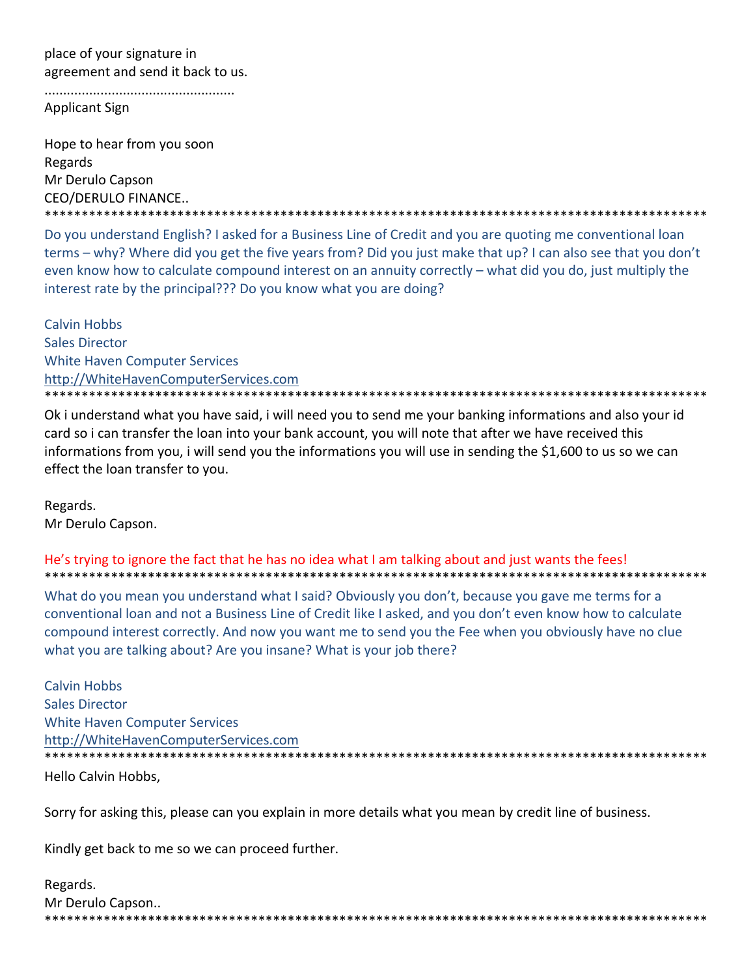place of your signature in agreement and send it back to us.

**Applicant Sign** 

Hope to hear from you soon Regards Mr Derulo Capson **CEO/DERULO FINANCE..** 

Do you understand English? I asked for a Business Line of Credit and you are quoting me conventional loan terms – why? Where did you get the five years from? Did you just make that up? I can also see that you don't even know how to calculate compound interest on an annuity correctly - what did you do, just multiply the interest rate by the principal??? Do you know what you are doing?

\*\*\*\*\*\*\*\*\*\*\*\*\*\*\*\*\*\*\*\*\*\*\*\*\*\*\*\*\*\*\*\*

**Calvin Hobbs Sales Director White Haven Computer Services** http://WhiteHavenComputerServices.com \*\*\*\*\*\*\*\*\*\*\*\*\*\*\*\*\*\*\*\*\*\*\*\*\*\*\*\*\*\*\*\*\*\*\*\*\* \*\*\*\*\*\*\*\*\*\*\*\*\*\*\*\*\*\*\*\*\*\*\*\*\*\*\*\*\*\*

Ok i understand what you have said, i will need you to send me your banking informations and also your id card so i can transfer the loan into your bank account, you will note that after we have received this informations from you, i will send you the informations you will use in sending the \$1,600 to us so we can effect the loan transfer to you.

Regards. Mr Derulo Capson.

He's trying to ignore the fact that he has no idea what I am talking about and just wants the fees! 

What do you mean you understand what I said? Obviously you don't, because you gave me terms for a conventional loan and not a Business Line of Credit like I asked, and you don't even know how to calculate compound interest correctly. And now you want me to send you the Fee when you obviously have no clue what you are talking about? Are you insane? What is your job there?

**Calvin Hobbs Sales Director White Haven Computer Services** http://WhiteHavenComputerServices.com 

Hello Calvin Hobbs,

Sorry for asking this, please can you explain in more details what you mean by credit line of business.

Kindly get back to me so we can proceed further.

Regards. Mr Derulo Capson..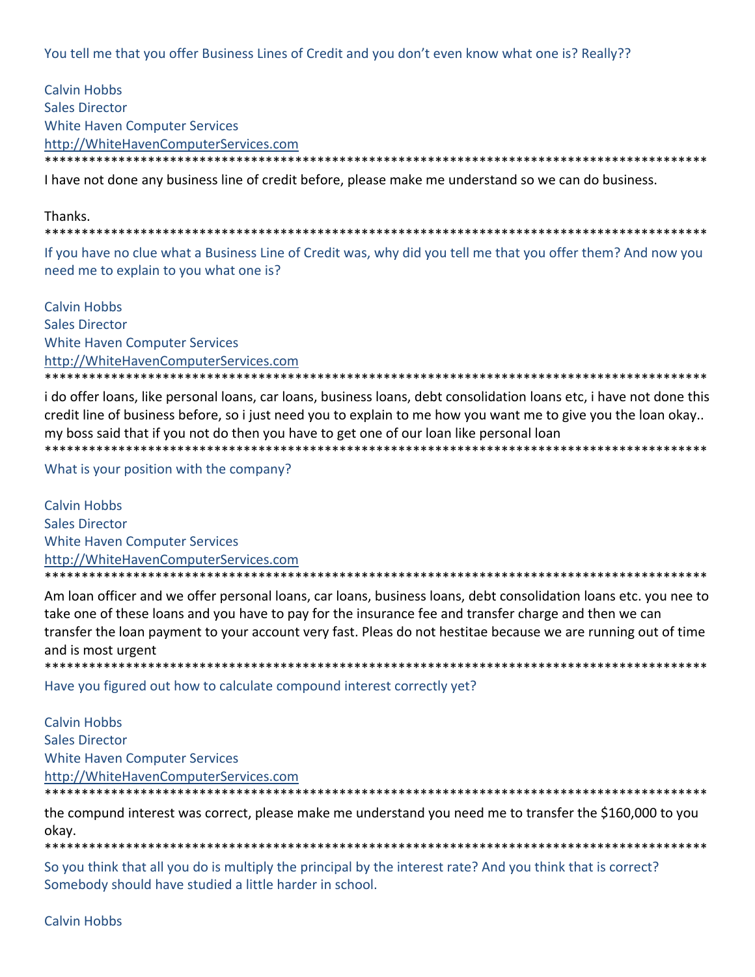You tell me that you offer Business Lines of Credit and you don't even know what one is? Really??

**Calvin Hobbs Sales Director White Haven Computer Services** http://WhiteHavenComputerServices.com \*\*\*\*\*\*\*\*\*\*\*\*\*\*\*\*\*\*\*\*\*\*\*\*\*\*\*\*\*\*\*\*\*\*\*

I have not done any business line of credit before, please make me understand so we can do business.

## Thanks.

If you have no clue what a Business Line of Credit was, why did you tell me that you offer them? And now you need me to explain to you what one is?

**Calvin Hobbs Sales Director White Haven Computer Services** http://WhiteHavenComputerServices.com \*\*\*\*\*\*\*\*\*\*\*\*\*\*\*\*\*\*\*\*\*\*\*\*\*\*\*\*\*\*\*\*\*\*\*\* 

i do offer loans, like personal loans, car loans, business loans, debt consolidation loans etc, i have not done this credit line of business before, so i just need you to explain to me how you want me to give you the loan okay.. my boss said that if you not do then you have to get one of our loan like personal loan \*\*\*\*\*\*\*\*\*\*\*\*\*\*\*\*\*\*\*\*\*

What is your position with the company?

**Calvin Hobbs Sales Director White Haven Computer Services** http://WhiteHavenComputerServices.com 

Am loan officer and we offer personal loans, car loans, business loans, debt consolidation loans etc. you nee to take one of these loans and you have to pay for the insurance fee and transfer charge and then we can transfer the loan payment to your account very fast. Pleas do not hestitae because we are running out of time and is most urgent 

Have you figured out how to calculate compound interest correctly yet?

**Calvin Hobbs Sales Director White Haven Computer Services** http://WhiteHavenComputerServices.com 

the compund interest was correct, please make me understand you need me to transfer the \$160,000 to you okav.

\*\*\*\*\*\*\*\*\*\*\*\*\*\*\*\*\*\*\*\*\*\*\*\*\*\*\*\*\*\*\*\*\*\*\*\*\*\*

So you think that all you do is multiply the principal by the interest rate? And you think that is correct? Somebody should have studied a little harder in school.

**Calvin Hobbs**